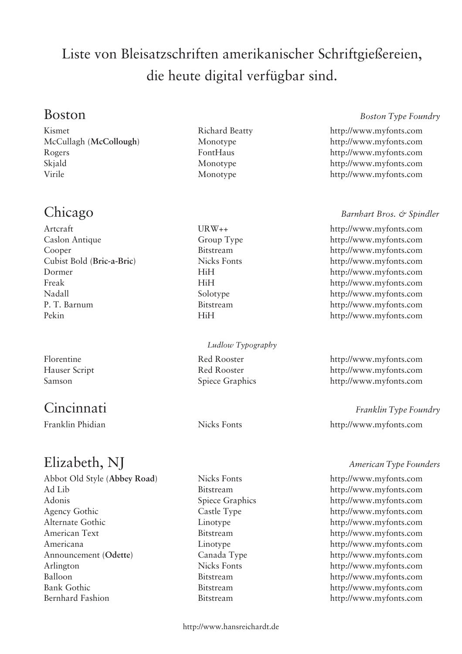# Liste von Bleisatzschriften amerikanischer Schriftgießereien, die heute digital verfügbar sind.

Kismet Richard Beatty http://www.myfonts.com McCullagh (**McCollough**) Monotype http://www.myfonts.com Rogers FontHaus http://www.myfonts.com Skjald Monotype http://www.myfonts.com Virile Monotype http://www.myfonts.com

### Boston *Boston Type Foundry*

Caslon Antique Group Type http://www.myfonts.com Cooper Bitstream http://www.myfonts.com Cubist Bold (**Bric-a-Bric**) Nicks Fonts http://www.myfonts.com Dormer HiH http://www.myfonts.com Freak HiH http://www.myfonts.com Nadall Solotype http://www.myfonts.com P. T. Barnum Bitstream http://www.myfonts.com Pekin HiH http://www.myfonts.com

### *Ludlow Typography*

# Elizabeth, NJ *American Type Founders*

Abbot Old Style (**Abbey Road**) Nicks Fonts http://www.myfonts.com Ad Lib Bitstream http://www.myfonts.com Adonis Spiece Graphics http://www.myfonts.com Agency Gothic Castle Type http://www.myfonts.com Alternate Gothic Linotype http://www.myfonts.com American Text Bitstream http://www.myfonts.com Americana Linotype http://www.myfonts.com Announcement (**Odette**) Canada Type http://www.myfonts.com Arlington Nicks Fonts http://www.myfonts.com Balloon Bitstream http://www.myfonts.com Bank Gothic Bitstream http://www.myfonts.com

### http://www.hansreichardt.de

### Chicago *Barnhart Bros. & Spindler*

Artcraft URW++ http://www.myfonts.com

Florentine Red Rooster http://www.myfonts.com Hauser Script Red Rooster http://www.myfonts.com Samson Spiece Graphics http://www.myfonts.com

Cincinnati *Franklin Type Foundry* Franklin Phidian Nicks Fonts http://www.myfonts.com

Bernhard Fashion Bitstream http://www.myfonts.com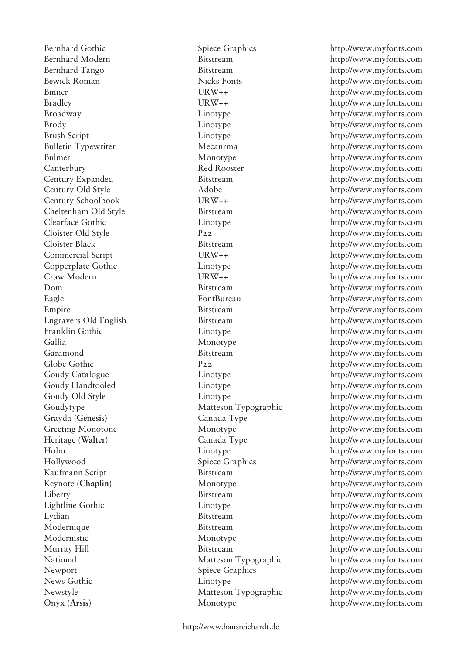Onyx (**Arsis**) Monotype http://www.myfonts.com

Bernhard Gothic Spiece Graphics http://www.myfonts.com

Bernhard Modern Bitstream http://www.myfonts.com Bernhard Tango Bitstream Bitstream http://www.myfonts.com Bewick Roman Nicks Fonts http://www.myfonts.com Binner URW++ URW++ http://www.myfonts.com Bradley URW++ http://www.myfonts.com Broadway Linotype http://www.myfonts.com Brody Linotype http://www.myfonts.com Brush Script Linotype http://www.myfonts.com Bulletin Typewriter Mecanrma http://www.myfonts.com Bulmer Monotype http://www.myfonts.com Canterbury Red Rooster http://www.myfonts.com Century Expanded Bitstream http://www.myfonts.com Century Old Style Adobe http://www.myfonts.com Century Schoolbook URW++ http://www.myfonts.com Cheltenham Old Style Bitstream http://www.myfonts.com Clearface Gothic Linotype http://www.myfonts.com Cloister Old Style P22 http://www.myfonts.com Cloister Black Bitstream http://www.myfonts.com Commercial Script URW++ http://www.myfonts.com Copperplate Gothic Linotype http://www.myfonts.com Craw Modern URW++ http://www.myfonts.com Dom Bitstream http://www.myfonts.com Eagle FontBureau http://www.myfonts.com Empire Bitstream http://www.myfonts.com Engravers Old English Bitstream http://www.myfonts.com Franklin Gothic Linotype http://www.myfonts.com Gallia Monotype http://www.myfonts.com Garamond Bitstream http://www.myfonts.com Globe Gothic  $P_{22}$  http://www.myfonts.com Goudy Catalogue Linotype http://www.myfonts.com Goudy Handtooled Linotype http://www.myfonts.com Goudy Old Style Linotype http://www.myfonts.com Goudytype Matteson Typographic http://www.myfonts.com Grayda (**Genesis**) Canada Type http://www.myfonts.com Greeting Monotone Monotype http://www.myfonts.com Heritage (**Walter**) Canada Type http://www.myfonts.com Hobo Linotype http://www.myfonts.com Hollywood Spiece Graphics http://www.myfonts.com Kaufmann Script Bitstream http://www.myfonts.com Keynote (Chaplin) Monotype http://www.myfonts.com Liberty Bitstream http://www.myfonts.com Lightline Gothic Linotype http://www.myfonts.com Lydian Bitstream http://www.myfonts.com Modernique Bitstream http://www.myfonts.com Modernistic Monotype http://www.myfonts.com Murray Hill Bitstream http://www.myfonts.com National Matteson Typographic http://www.myfonts.com Newport Spiece Graphics http://www.myfonts.com News Gothic Linotype http://www.myfonts.com Newstyle Matteson Typographic http://www.myfonts.com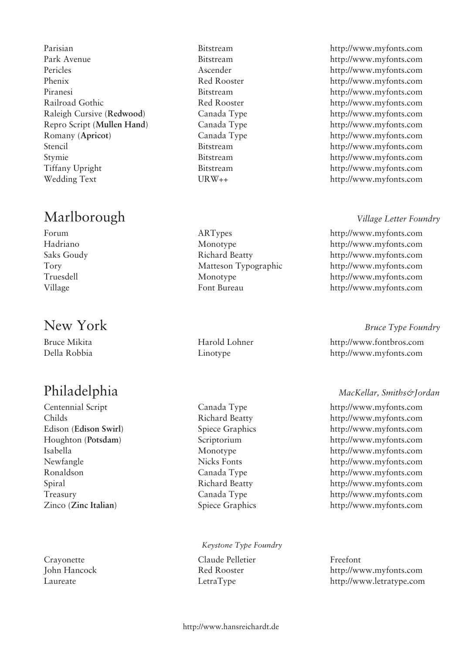Parisian Bitstream http://www.myfonts.com Park Avenue Bitstream http://www.myfonts.com Pericles Ascender http://www.myfonts.com Phenix Red Rooster http://www.myfonts.com Piranesi Bitstream http://www.myfonts.com Railroad Gothic Red Rooster http://www.myfonts.com Raleigh Cursive (**Redwood**) Canada Type http://www.myfonts.com Repro Script (**Mullen Hand**) Canada Type http://www.myfonts.com Romany (**Apricot**) Canada Type http://www.myfonts.com Stencil Bitstream http://www.myfonts.com Stymie Bitstream http://www.myfonts.com Tiffany Upright Bitstream http://www.myfonts.com Wedding Text URW++ URW++ http://www.myfonts.com

# Marlborough *Village Letter Foundry*

### *Keystone Type Foundry*

Crayonette Claude Pelletier Freefont

Forum ARTypes http://www.myfonts.com Hadriano Monotype http://www.myfonts.com Saks Goudy Richard Beatty http://www.myfonts.com Tory Matteson Typographic http://www.myfonts.com Truesdell Monotype http://www.myfonts.com Village Font Bureau http://www.myfonts.com

New York *Bruce Type Foundry*

Bruce Mikita **Harold Lohner** http://www.fontbros.com Della Robbia Linotype http://www.myfonts.com

### Philadelphia *MacKellar, Smiths&Jordan*

Centennial Script Canada Type http://www.myfonts.com Childs Richard Beatty http://www.myfonts.com Edison (**Edison Swirl**) Spiece Graphics http://www.myfonts.com Houghton (**Potsdam**) Scriptorium http://www.myfonts.com Isabella Monotype http://www.myfonts.com Newfangle Nicks Fonts http://www.myfonts.com Ronaldson Canada Type http://www.myfonts.com Spiral Richard Beatty http://www.myfonts.com Treasury Canada Type http://www.myfonts.com Zinco (**Zinc Italian**) Spiece Graphics http://www.myfonts.com

John Hancock Red Rooster http://www.myfonts.com Laureate LetraType http://www.letratype.com